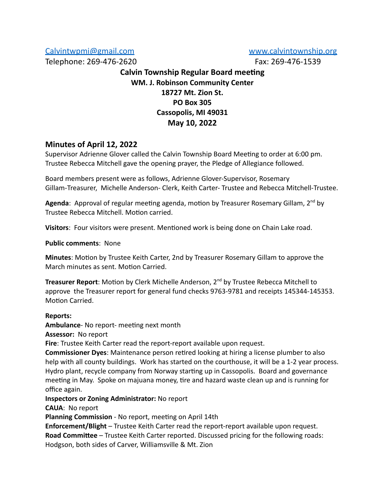[Calvintwpmi@gmail.com](mailto:Calvintwpmi@gmail.com) [www.calvintownship.org](http://www.calvintownship.org/)

Telephone: 269-476-2620 Fax: 269-476-1539

# **Calvin Township Regular Board meeting WM. J. Robinson Community Center 18727 Mt. Zion St. PO Box 305 Cassopolis, MI 49031 May 10, 2022**

# **Minutes of April 12, 2022**

Supervisor Adrienne Glover called the Calvin Township Board Meeting to order at 6:00 pm. Trustee Rebecca Mitchell gave the opening prayer, the Pledge of Allegiance followed.

Board members present were as follows, Adrienne Glover-Supervisor, Rosemary Gillam-Treasurer, Michelle Anderson- Clerk, Keith Carter- Trustee and Rebecca Mitchell-Trustee.

Agenda: Approval of regular meeting agenda, motion by Treasurer Rosemary Gillam. 2<sup>nd</sup> by Trustee Rebecca Mitchell. Motion carried.

Visitors: Four visitors were present. Mentioned work is being done on Chain Lake road.

**Public comments**: None

**Minutes**: Motion by Trustee Keith Carter, 2nd by Treasurer Rosemary Gillam to approve the March minutes as sent. Motion Carried.

Treasurer Report: Motion by Clerk Michelle Anderson, 2<sup>nd</sup> by Trustee Rebecca Mitchell to approve the Treasurer report for general fund checks 9763-9781 and receipts 145344-145353. Motion Carried.

## **Reports:**

**Ambulance**- No report- meeting next month

**Assessor:** No report

**Fire**: Trustee Keith Carter read the report-report available upon request.

**Commissioner Dyes**: Maintenance person retired looking at hiring a license plumber to also help with all county buildings. Work has started on the courthouse, it will be a 1-2 year process. Hydro plant, recycle company from Norway starting up in Cassopolis. Board and governance meeting in May. Spoke on majuana money, tire and hazard waste clean up and is running for office again.

**Inspectors or Zoning Administrator:** No report

**CAUA**: No report

**Planning Commission** - No report, meeting on April 14th

**Enforcement/Blight** – Trustee Keith Carter read the report-report available upon request. **Road Committee** – Trustee Keith Carter reported. Discussed pricing for the following roads: Hodgson, both sides of Carver, Williamsville & Mt. Zion